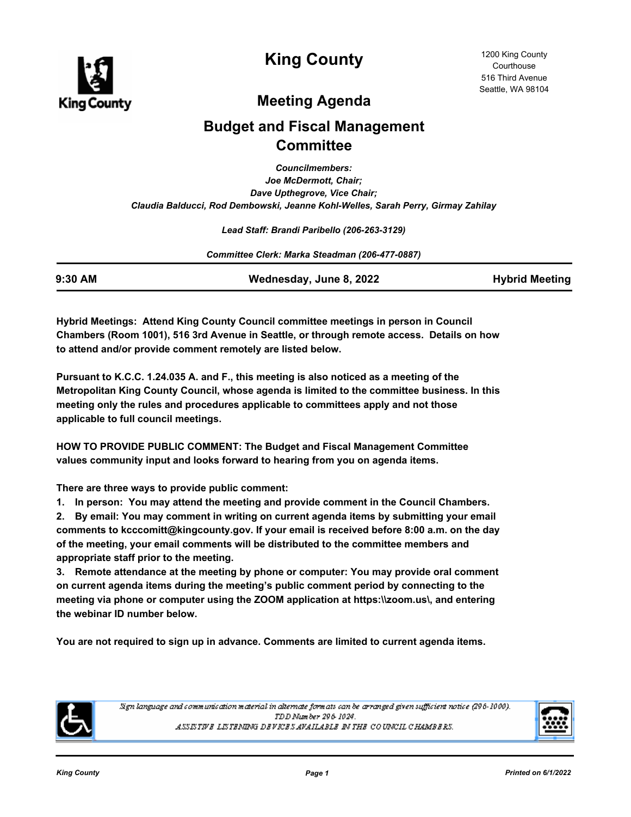

# **King County**

## **Meeting Agenda**

## **Budget and Fiscal Management Committee**

*Councilmembers: Joe McDermott, Chair; Dave Upthegrove, Vice Chair; Claudia Balducci, Rod Dembowski, Jeanne Kohl-Welles, Sarah Perry, Girmay Zahilay*

*Lead Staff: Brandi Paribello (206-263-3129)*

*Committee Clerk: Marka Steadman (206-477-0887)*

**9:30 AM Wednesday, June 8, 2022 Hybrid Meeting**

**Hybrid Meetings: Attend King County Council committee meetings in person in Council Chambers (Room 1001), 516 3rd Avenue in Seattle, or through remote access. Details on how to attend and/or provide comment remotely are listed below.**

**Pursuant to K.C.C. 1.24.035 A. and F., this meeting is also noticed as a meeting of the Metropolitan King County Council, whose agenda is limited to the committee business. In this meeting only the rules and procedures applicable to committees apply and not those applicable to full council meetings.**

**HOW TO PROVIDE PUBLIC COMMENT: The Budget and Fiscal Management Committee values community input and looks forward to hearing from you on agenda items.**

**There are three ways to provide public comment:**

**1. In person: You may attend the meeting and provide comment in the Council Chambers.**

**2. By email: You may comment in writing on current agenda items by submitting your email comments to kcccomitt@kingcounty.gov. If your email is received before 8:00 a.m. on the day of the meeting, your email comments will be distributed to the committee members and appropriate staff prior to the meeting.** 

**3. Remote attendance at the meeting by phone or computer: You may provide oral comment on current agenda items during the meeting's public comment period by connecting to the meeting via phone or computer using the ZOOM application at https:\\zoom.us\, and entering the webinar ID number below.** 

**You are not required to sign up in advance. Comments are limited to current agenda items.**



Sign language and communication material in alternate formats can be arranged given sufficient notice (296-1000). TDD Number 296-1024. ASSISTIVE LISTENING DEVICES AVAILABLE IN THE COUNCIL CHAMBERS.

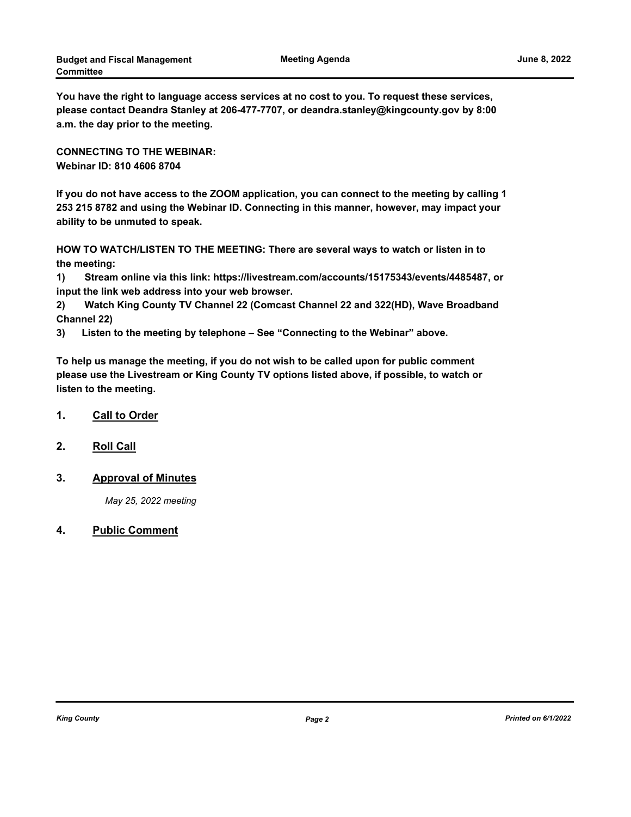**You have the right to language access services at no cost to you. To request these services, please contact Deandra Stanley at 206-477-7707, or deandra.stanley@kingcounty.gov by 8:00 a.m. the day prior to the meeting.**

**CONNECTING TO THE WEBINAR: Webinar ID: 810 4606 8704**

**If you do not have access to the ZOOM application, you can connect to the meeting by calling 1 253 215 8782 and using the Webinar ID. Connecting in this manner, however, may impact your ability to be unmuted to speak.** 

**HOW TO WATCH/LISTEN TO THE MEETING: There are several ways to watch or listen in to the meeting:**

**1) Stream online via this link: https://livestream.com/accounts/15175343/events/4485487, or input the link web address into your web browser.**

**2) Watch King County TV Channel 22 (Comcast Channel 22 and 322(HD), Wave Broadband Channel 22)**

**3) Listen to the meeting by telephone – See "Connecting to the Webinar" above.**

**To help us manage the meeting, if you do not wish to be called upon for public comment please use the Livestream or King County TV options listed above, if possible, to watch or listen to the meeting.**

#### **1. Call to Order**

**2. Roll Call**

#### **3. Approval of Minutes**

*May 25, 2022 meeting*

#### **4. Public Comment**